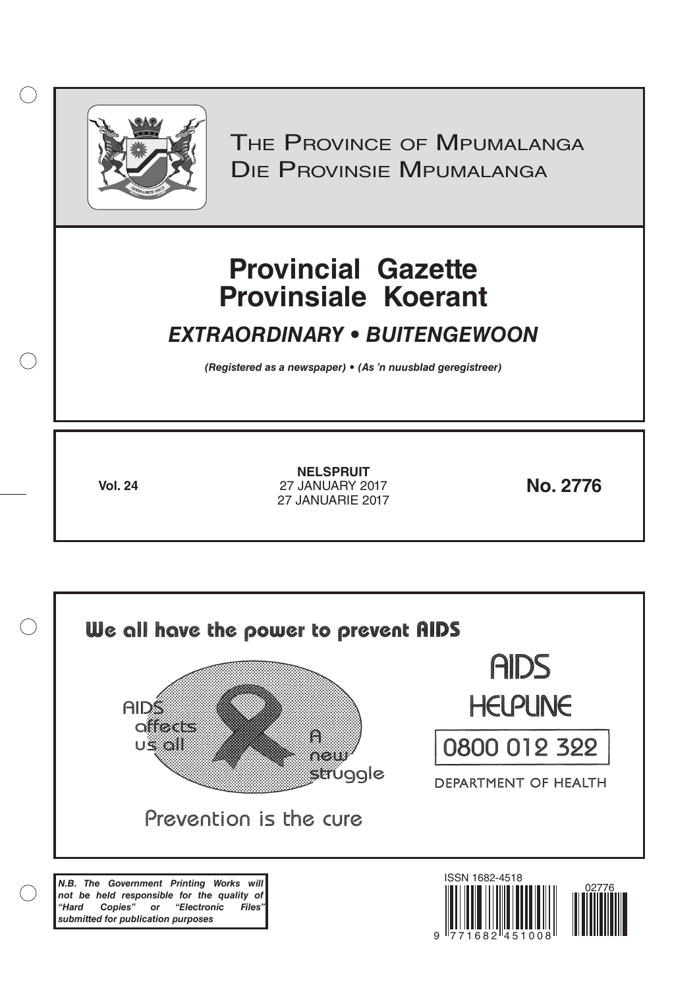

 $( )$ 

THE PROVINCE OF MPUMALANGA Die Provinsie Mpumalanga

# **Provincial Gazette Provinsiale Koerant**

# *EXTRAORDINARY • BUITENGEWOON*

*(Registered as a newspaper) • (As 'n nuusblad geregistreer)*

**Vol. 24 No. 2776** 27 JANUARY 2017 **NELSPRUIT** 27 JANUARIE 2017

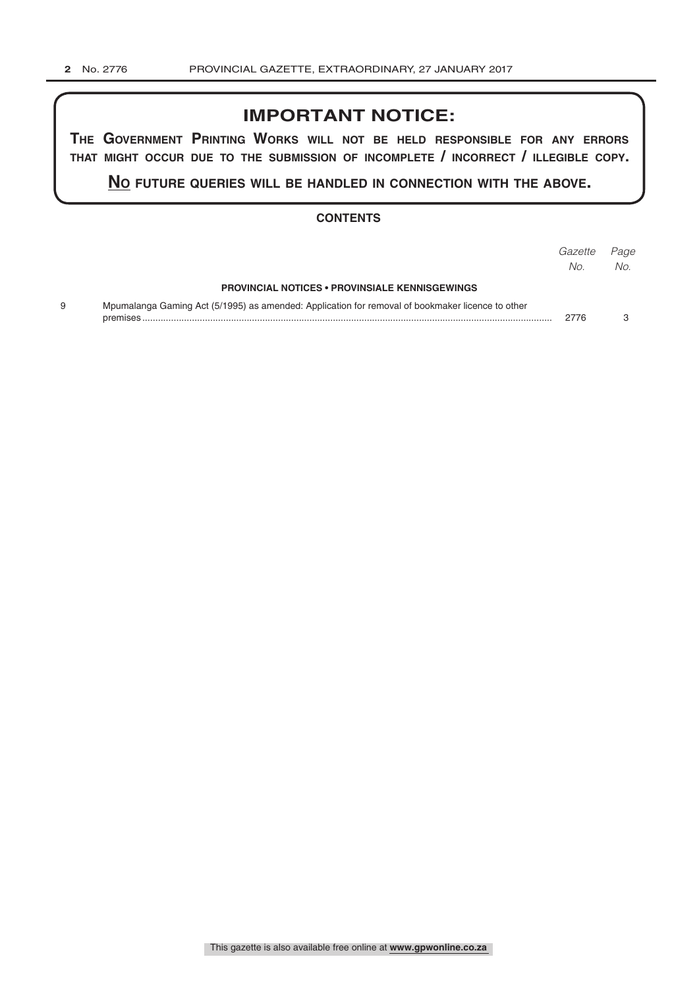### **IMPORTANT NOTICE:**

**The GovernmenT PrinTinG Works Will noT be held resPonsible for any errors ThaT miGhT occur due To The submission of incomPleTe / incorrecT / illeGible coPy.**

**no fuTure queries Will be handled in connecTion WiTh The above.**

#### **CONTENTS**

|                                                                                                  | Gazette<br>No. | Page<br>No. |
|--------------------------------------------------------------------------------------------------|----------------|-------------|
| <b>PROVINCIAL NOTICES • PROVINSIALE KENNISGEWINGS</b>                                            |                |             |
| Mpumalanga Gaming Act (5/1995) as amended: Application for removal of bookmaker licence to other | 2776           |             |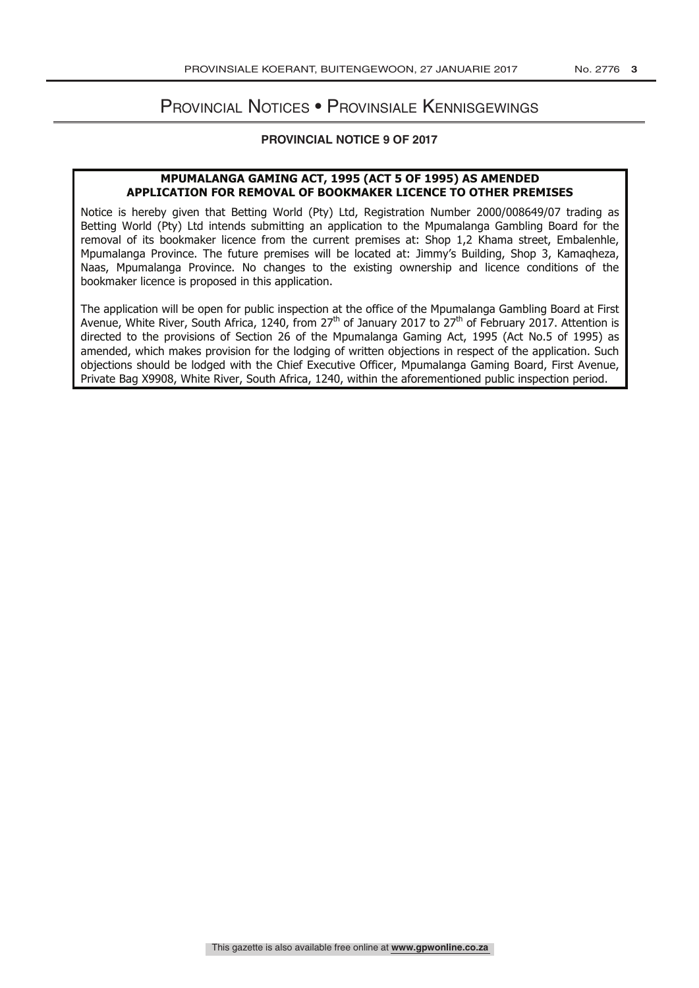## Provincial Notices • Provinsiale Kennisgewings

#### **PROVINCIAL NOTICE 9 OF 2017**

#### **MPUMALANGA GAMING ACT, 1995 (ACT 5 OF 1995) AS AMENDED APPLICATION FOR REMOVAL OF BOOKMAKER LICENCE TO OTHER PREMISES**

Notice is hereby given that Betting World (Pty) Ltd, Registration Number 2000/008649/07 trading as Betting World (Pty) Ltd intends submitting an application to the Mpumalanga Gambling Board for the removal of its bookmaker licence from the current premises at: Shop 1,2 Khama street, Embalenhle, Mpumalanga Province. The future premises will be located at: Jimmy's Building, Shop 3, Kamaqheza, Naas, Mpumalanga Province. No changes to the existing ownership and licence conditions of the bookmaker licence is proposed in this application.

The application will be open for public inspection at the office of the Mpumalanga Gambling Board at First Avenue, White River, South Africa, 1240, from 27<sup>th</sup> of January 2017 to 27<sup>th</sup> of February 2017. Attention is directed to the provisions of Section 26 of the Mpumalanga Gaming Act, 1995 (Act No.5 of 1995) as amended, which makes provision for the lodging of written objections in respect of the application. Such objections should be lodged with the Chief Executive Officer, Mpumalanga Gaming Board, First Avenue, Private Bag X9908, White River, South Africa, 1240, within the aforementioned public inspection period.